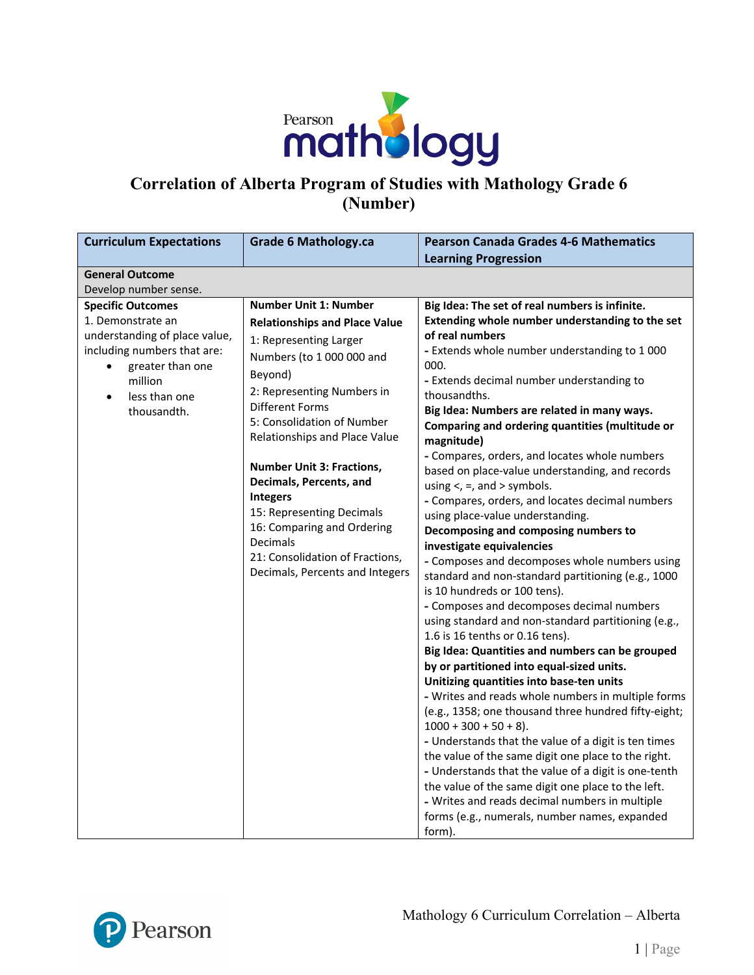

# **Correlation of Alberta Program of Studies with Mathology Grade 6 (Number)**

| <b>Grade 6 Mathology.ca</b>                                                                                                                                                                                                                                                                                                                                                                                                                                                           | <b>Pearson Canada Grades 4-6 Mathematics</b>                                                                                                                                                                                                                                                                                                                                                                                                                                                                                                                                                                                                                                                                                                                                                                                                                                                                                                                                                                                                                                                                                                                                                                                                                                                                                                                                                                                                                                                                    |
|---------------------------------------------------------------------------------------------------------------------------------------------------------------------------------------------------------------------------------------------------------------------------------------------------------------------------------------------------------------------------------------------------------------------------------------------------------------------------------------|-----------------------------------------------------------------------------------------------------------------------------------------------------------------------------------------------------------------------------------------------------------------------------------------------------------------------------------------------------------------------------------------------------------------------------------------------------------------------------------------------------------------------------------------------------------------------------------------------------------------------------------------------------------------------------------------------------------------------------------------------------------------------------------------------------------------------------------------------------------------------------------------------------------------------------------------------------------------------------------------------------------------------------------------------------------------------------------------------------------------------------------------------------------------------------------------------------------------------------------------------------------------------------------------------------------------------------------------------------------------------------------------------------------------------------------------------------------------------------------------------------------------|
|                                                                                                                                                                                                                                                                                                                                                                                                                                                                                       | <b>Learning Progression</b>                                                                                                                                                                                                                                                                                                                                                                                                                                                                                                                                                                                                                                                                                                                                                                                                                                                                                                                                                                                                                                                                                                                                                                                                                                                                                                                                                                                                                                                                                     |
|                                                                                                                                                                                                                                                                                                                                                                                                                                                                                       |                                                                                                                                                                                                                                                                                                                                                                                                                                                                                                                                                                                                                                                                                                                                                                                                                                                                                                                                                                                                                                                                                                                                                                                                                                                                                                                                                                                                                                                                                                                 |
|                                                                                                                                                                                                                                                                                                                                                                                                                                                                                       |                                                                                                                                                                                                                                                                                                                                                                                                                                                                                                                                                                                                                                                                                                                                                                                                                                                                                                                                                                                                                                                                                                                                                                                                                                                                                                                                                                                                                                                                                                                 |
| <b>Number Unit 1: Number</b><br><b>Relationships and Place Value</b><br>1: Representing Larger<br>Numbers (to 1 000 000 and<br>Beyond)<br>2: Representing Numbers in<br><b>Different Forms</b><br>5: Consolidation of Number<br>Relationships and Place Value<br><b>Number Unit 3: Fractions,</b><br>Decimals, Percents, and<br>Integers<br>15: Representing Decimals<br>16: Comparing and Ordering<br>Decimals<br>21: Consolidation of Fractions,<br>Decimals, Percents and Integers | Big Idea: The set of real numbers is infinite.<br>Extending whole number understanding to the set<br>of real numbers<br>- Extends whole number understanding to 1 000<br>000.<br>- Extends decimal number understanding to<br>thousandths.<br>Big Idea: Numbers are related in many ways.<br>Comparing and ordering quantities (multitude or<br>magnitude)<br>- Compares, orders, and locates whole numbers<br>based on place-value understanding, and records<br>using $\lt$ , =, and > symbols.<br>- Compares, orders, and locates decimal numbers<br>using place-value understanding.<br>Decomposing and composing numbers to<br>investigate equivalencies<br>- Composes and decomposes whole numbers using<br>standard and non-standard partitioning (e.g., 1000<br>is 10 hundreds or 100 tens).<br>- Composes and decomposes decimal numbers<br>using standard and non-standard partitioning (e.g.,<br>1.6 is 16 tenths or 0.16 tens).<br>Big Idea: Quantities and numbers can be grouped<br>by or partitioned into equal-sized units.<br>Unitizing quantities into base-ten units<br>- Writes and reads whole numbers in multiple forms<br>(e.g., 1358; one thousand three hundred fifty-eight;<br>$1000 + 300 + 50 + 8$ .<br>- Understands that the value of a digit is ten times<br>the value of the same digit one place to the right.<br>- Understands that the value of a digit is one-tenth<br>the value of the same digit one place to the left.<br>- Writes and reads decimal numbers in multiple |
|                                                                                                                                                                                                                                                                                                                                                                                                                                                                                       |                                                                                                                                                                                                                                                                                                                                                                                                                                                                                                                                                                                                                                                                                                                                                                                                                                                                                                                                                                                                                                                                                                                                                                                                                                                                                                                                                                                                                                                                                                                 |

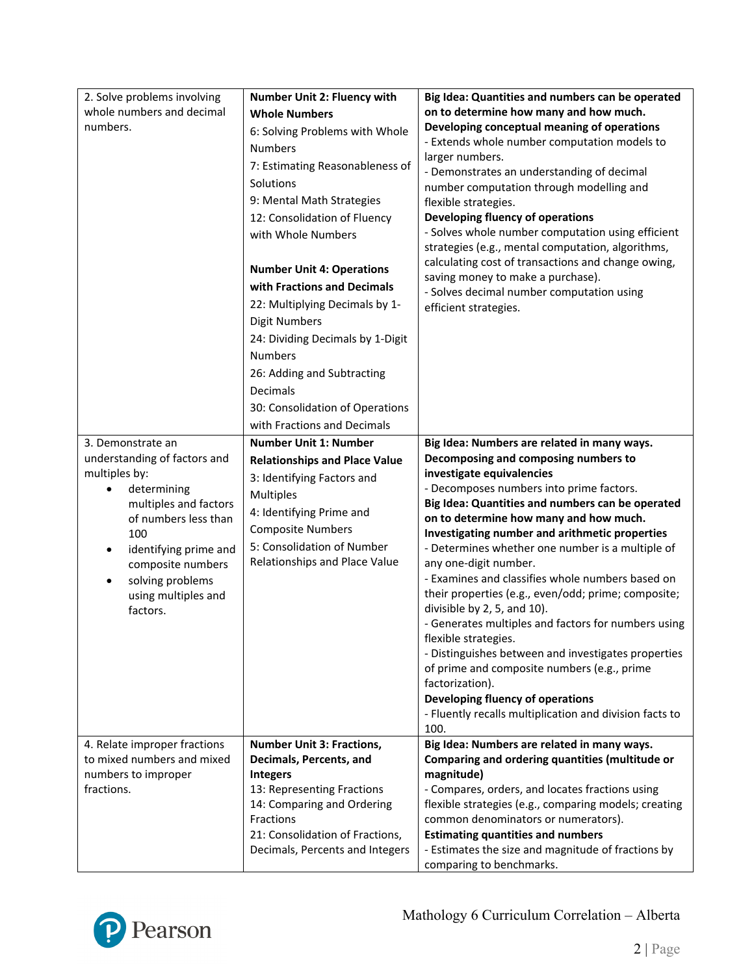| 2. Solve problems involving                     | Number Unit 2: Fluency with                              | Big Idea: Quantities and numbers can be operated                                                         |
|-------------------------------------------------|----------------------------------------------------------|----------------------------------------------------------------------------------------------------------|
| whole numbers and decimal                       | <b>Whole Numbers</b>                                     | on to determine how many and how much.                                                                   |
| numbers.                                        | 6: Solving Problems with Whole                           | Developing conceptual meaning of operations                                                              |
|                                                 | <b>Numbers</b>                                           | - Extends whole number computation models to                                                             |
|                                                 | 7: Estimating Reasonableness of                          | larger numbers.                                                                                          |
|                                                 | Solutions                                                | - Demonstrates an understanding of decimal<br>number computation through modelling and                   |
|                                                 | 9: Mental Math Strategies                                | flexible strategies.                                                                                     |
|                                                 | 12: Consolidation of Fluency                             | Developing fluency of operations                                                                         |
|                                                 | with Whole Numbers                                       | - Solves whole number computation using efficient                                                        |
|                                                 |                                                          | strategies (e.g., mental computation, algorithms,                                                        |
|                                                 | <b>Number Unit 4: Operations</b>                         | calculating cost of transactions and change owing,                                                       |
|                                                 | with Fractions and Decimals                              | saving money to make a purchase).                                                                        |
|                                                 | 22: Multiplying Decimals by 1-                           | - Solves decimal number computation using<br>efficient strategies.                                       |
|                                                 | <b>Digit Numbers</b>                                     |                                                                                                          |
|                                                 | 24: Dividing Decimals by 1-Digit                         |                                                                                                          |
|                                                 | <b>Numbers</b>                                           |                                                                                                          |
|                                                 | 26: Adding and Subtracting                               |                                                                                                          |
|                                                 | Decimals                                                 |                                                                                                          |
|                                                 | 30: Consolidation of Operations                          |                                                                                                          |
|                                                 | with Fractions and Decimals                              |                                                                                                          |
| 3. Demonstrate an                               | <b>Number Unit 1: Number</b>                             | Big Idea: Numbers are related in many ways.                                                              |
| understanding of factors and                    | <b>Relationships and Place Value</b>                     | Decomposing and composing numbers to                                                                     |
| multiples by:                                   | 3: Identifying Factors and                               | investigate equivalencies                                                                                |
| determining                                     | <b>Multiples</b>                                         | - Decomposes numbers into prime factors.                                                                 |
| multiples and factors                           | 4: Identifying Prime and                                 | Big Idea: Quantities and numbers can be operated                                                         |
| of numbers less than                            | <b>Composite Numbers</b>                                 | on to determine how many and how much.                                                                   |
| 100                                             | 5: Consolidation of Number                               | Investigating number and arithmetic properties<br>- Determines whether one number is a multiple of       |
| identifying prime and<br>٠<br>composite numbers | Relationships and Place Value                            | any one-digit number.                                                                                    |
| solving problems                                |                                                          | - Examines and classifies whole numbers based on                                                         |
| using multiples and                             |                                                          | their properties (e.g., even/odd; prime; composite;                                                      |
| factors.                                        |                                                          | divisible by 2, 5, and 10).                                                                              |
|                                                 |                                                          | - Generates multiples and factors for numbers using                                                      |
|                                                 |                                                          | flexible strategies.                                                                                     |
|                                                 |                                                          | - Distinguishes between and investigates properties                                                      |
|                                                 |                                                          | of prime and composite numbers (e.g., prime<br>factorization).                                           |
|                                                 |                                                          | Developing fluency of operations                                                                         |
|                                                 |                                                          | - Fluently recalls multiplication and division facts to                                                  |
|                                                 |                                                          | 100.                                                                                                     |
| 4. Relate improper fractions                    | <b>Number Unit 3: Fractions,</b>                         | Big Idea: Numbers are related in many ways.                                                              |
| to mixed numbers and mixed                      | Decimals, Percents, and                                  | Comparing and ordering quantities (multitude or                                                          |
| numbers to improper                             | <b>Integers</b>                                          | magnitude)                                                                                               |
| fractions.                                      | 13: Representing Fractions<br>14: Comparing and Ordering | - Compares, orders, and locates fractions using<br>flexible strategies (e.g., comparing models; creating |
|                                                 | Fractions                                                | common denominators or numerators).                                                                      |
|                                                 | 21: Consolidation of Fractions,                          | <b>Estimating quantities and numbers</b>                                                                 |
|                                                 | Decimals, Percents and Integers                          | - Estimates the size and magnitude of fractions by                                                       |
|                                                 |                                                          | comparing to benchmarks.                                                                                 |

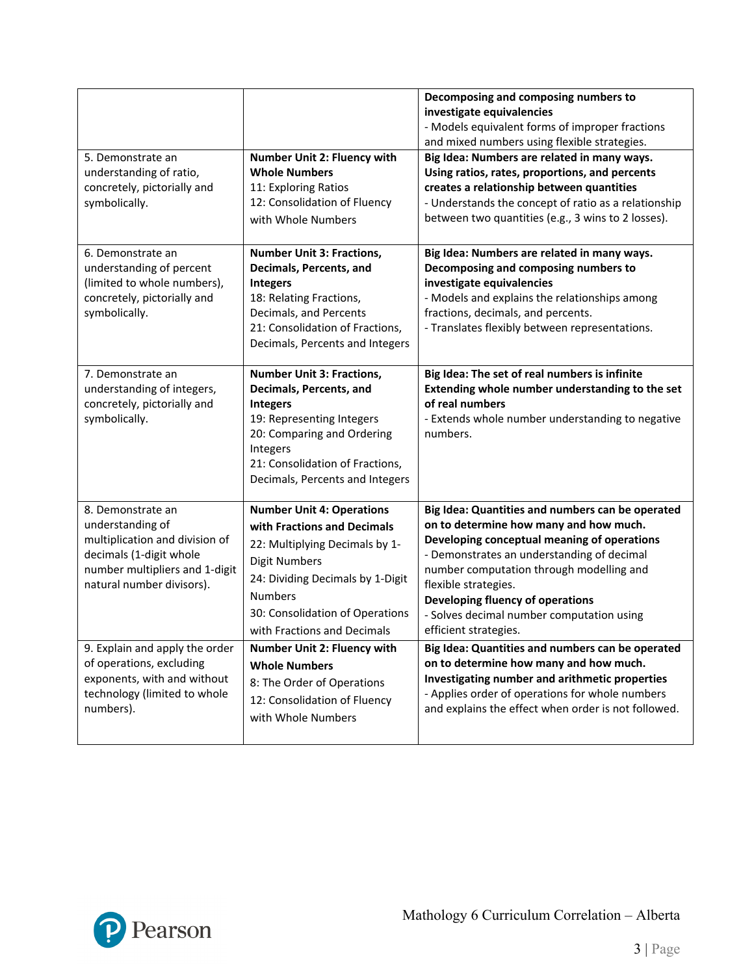|                                                                                                                                                                   |                                                                                                                                                                                                                                                   | Decomposing and composing numbers to<br>investigate equivalencies<br>- Models equivalent forms of improper fractions<br>and mixed numbers using flexible strategies.                                                                                                                                                                                                  |
|-------------------------------------------------------------------------------------------------------------------------------------------------------------------|---------------------------------------------------------------------------------------------------------------------------------------------------------------------------------------------------------------------------------------------------|-----------------------------------------------------------------------------------------------------------------------------------------------------------------------------------------------------------------------------------------------------------------------------------------------------------------------------------------------------------------------|
| 5. Demonstrate an<br>understanding of ratio,<br>concretely, pictorially and<br>symbolically.                                                                      | Number Unit 2: Fluency with<br><b>Whole Numbers</b><br>11: Exploring Ratios<br>12: Consolidation of Fluency<br>with Whole Numbers                                                                                                                 | Big Idea: Numbers are related in many ways.<br>Using ratios, rates, proportions, and percents<br>creates a relationship between quantities<br>- Understands the concept of ratio as a relationship<br>between two quantities (e.g., 3 wins to 2 losses).                                                                                                              |
| 6. Demonstrate an<br>understanding of percent<br>(limited to whole numbers),<br>concretely, pictorially and<br>symbolically.                                      | <b>Number Unit 3: Fractions,</b><br>Decimals, Percents, and<br><b>Integers</b><br>18: Relating Fractions,<br>Decimals, and Percents<br>21: Consolidation of Fractions,<br>Decimals, Percents and Integers                                         | Big Idea: Numbers are related in many ways.<br>Decomposing and composing numbers to<br>investigate equivalencies<br>- Models and explains the relationships among<br>fractions, decimals, and percents.<br>- Translates flexibly between representations.                                                                                                             |
| 7. Demonstrate an<br>understanding of integers,<br>concretely, pictorially and<br>symbolically.                                                                   | <b>Number Unit 3: Fractions,</b><br>Decimals, Percents, and<br><b>Integers</b><br>19: Representing Integers<br>20: Comparing and Ordering<br>Integers<br>21: Consolidation of Fractions,<br>Decimals, Percents and Integers                       | Big Idea: The set of real numbers is infinite<br>Extending whole number understanding to the set<br>of real numbers<br>- Extends whole number understanding to negative<br>numbers.                                                                                                                                                                                   |
| 8. Demonstrate an<br>understanding of<br>multiplication and division of<br>decimals (1-digit whole<br>number multipliers and 1-digit<br>natural number divisors). | <b>Number Unit 4: Operations</b><br>with Fractions and Decimals<br>22: Multiplying Decimals by 1-<br><b>Digit Numbers</b><br>24: Dividing Decimals by 1-Digit<br><b>Numbers</b><br>30: Consolidation of Operations<br>with Fractions and Decimals | Big Idea: Quantities and numbers can be operated<br>on to determine how many and how much.<br>Developing conceptual meaning of operations<br>- Demonstrates an understanding of decimal<br>number computation through modelling and<br>flexible strategies.<br>Developing fluency of operations<br>- Solves decimal number computation using<br>efficient strategies. |
| 9. Explain and apply the order<br>of operations, excluding<br>exponents, with and without<br>technology (limited to whole<br>numbers).                            | Number Unit 2: Fluency with<br><b>Whole Numbers</b><br>8: The Order of Operations<br>12: Consolidation of Fluency<br>with Whole Numbers                                                                                                           | Big Idea: Quantities and numbers can be operated<br>on to determine how many and how much.<br>Investigating number and arithmetic properties<br>- Applies order of operations for whole numbers<br>and explains the effect when order is not followed.                                                                                                                |

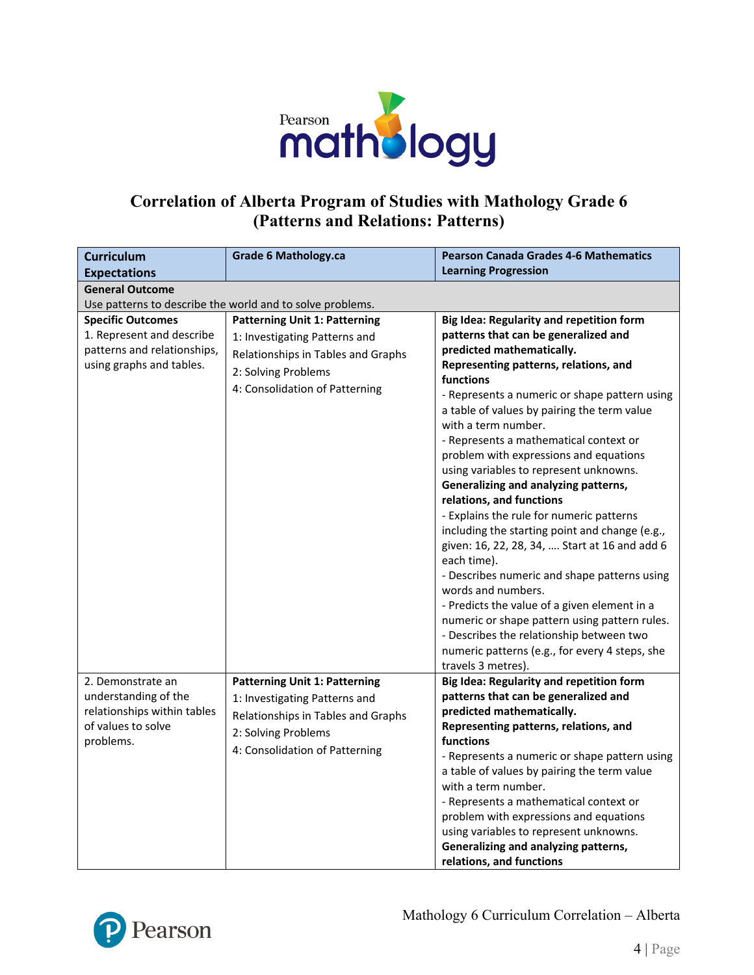

#### **Correlation of Alberta Program of Studies with Mathology Grade 6 (Patterns and Relations: Patterns)**

| <b>Curriculum</b>                                                                                                | <b>Grade 6 Mathology.ca</b>                                                                                                                                          | <b>Pearson Canada Grades 4-6 Mathematics</b>                                                                                                                                                                                                                                                                                                                                                                                                                                                                                                                                                                                                                                                                                                                                                                                                                                                                                                          |  |  |  |
|------------------------------------------------------------------------------------------------------------------|----------------------------------------------------------------------------------------------------------------------------------------------------------------------|-------------------------------------------------------------------------------------------------------------------------------------------------------------------------------------------------------------------------------------------------------------------------------------------------------------------------------------------------------------------------------------------------------------------------------------------------------------------------------------------------------------------------------------------------------------------------------------------------------------------------------------------------------------------------------------------------------------------------------------------------------------------------------------------------------------------------------------------------------------------------------------------------------------------------------------------------------|--|--|--|
| <b>Expectations</b>                                                                                              |                                                                                                                                                                      | <b>Learning Progression</b>                                                                                                                                                                                                                                                                                                                                                                                                                                                                                                                                                                                                                                                                                                                                                                                                                                                                                                                           |  |  |  |
| <b>General Outcome</b>                                                                                           |                                                                                                                                                                      |                                                                                                                                                                                                                                                                                                                                                                                                                                                                                                                                                                                                                                                                                                                                                                                                                                                                                                                                                       |  |  |  |
|                                                                                                                  | Use patterns to describe the world and to solve problems.                                                                                                            |                                                                                                                                                                                                                                                                                                                                                                                                                                                                                                                                                                                                                                                                                                                                                                                                                                                                                                                                                       |  |  |  |
| <b>Specific Outcomes</b><br>1. Represent and describe<br>patterns and relationships,<br>using graphs and tables. | <b>Patterning Unit 1: Patterning</b><br>1: Investigating Patterns and<br>Relationships in Tables and Graphs<br>2: Solving Problems<br>4: Consolidation of Patterning | Big Idea: Regularity and repetition form<br>patterns that can be generalized and<br>predicted mathematically.<br>Representing patterns, relations, and<br>functions<br>- Represents a numeric or shape pattern using<br>a table of values by pairing the term value<br>with a term number.<br>- Represents a mathematical context or<br>problem with expressions and equations<br>using variables to represent unknowns.<br>Generalizing and analyzing patterns,<br>relations, and functions<br>- Explains the rule for numeric patterns<br>including the starting point and change (e.g.,<br>given: 16, 22, 28, 34,  Start at 16 and add 6<br>each time).<br>- Describes numeric and shape patterns using<br>words and numbers.<br>- Predicts the value of a given element in a<br>numeric or shape pattern using pattern rules.<br>- Describes the relationship between two<br>numeric patterns (e.g., for every 4 steps, she<br>travels 3 metres). |  |  |  |
| 2. Demonstrate an<br>understanding of the<br>relationships within tables<br>of values to solve<br>problems.      | <b>Patterning Unit 1: Patterning</b><br>1: Investigating Patterns and<br>Relationships in Tables and Graphs<br>2: Solving Problems<br>4: Consolidation of Patterning | Big Idea: Regularity and repetition form<br>patterns that can be generalized and<br>predicted mathematically.<br>Representing patterns, relations, and<br>functions<br>- Represents a numeric or shape pattern using<br>a table of values by pairing the term value<br>with a term number.<br>- Represents a mathematical context or<br>problem with expressions and equations<br>using variables to represent unknowns.<br>Generalizing and analyzing patterns,<br>relations, and functions                                                                                                                                                                                                                                                                                                                                                                                                                                                          |  |  |  |

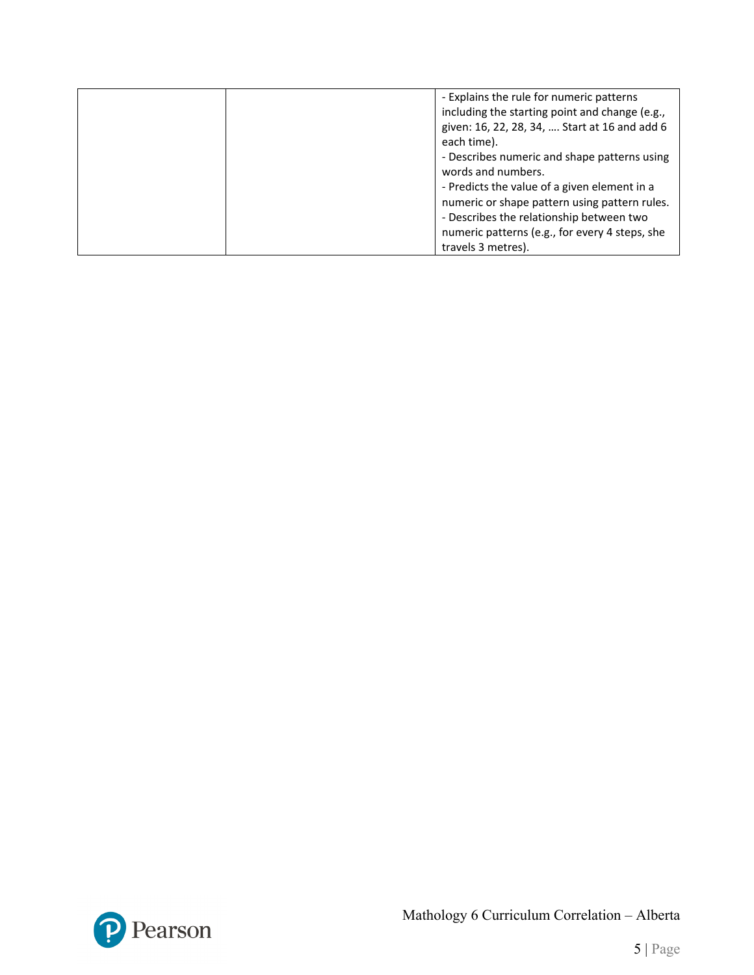| - Explains the rule for numeric patterns<br>including the starting point and change (e.g.,<br>given: 16, 22, 28, 34,  Start at 16 and add 6<br>each time).                                                      |
|-----------------------------------------------------------------------------------------------------------------------------------------------------------------------------------------------------------------|
| - Describes numeric and shape patterns using<br>words and numbers.<br>- Predicts the value of a given element in a<br>numeric or shape pattern using pattern rules.<br>- Describes the relationship between two |
| numeric patterns (e.g., for every 4 steps, she<br>travels 3 metres).                                                                                                                                            |

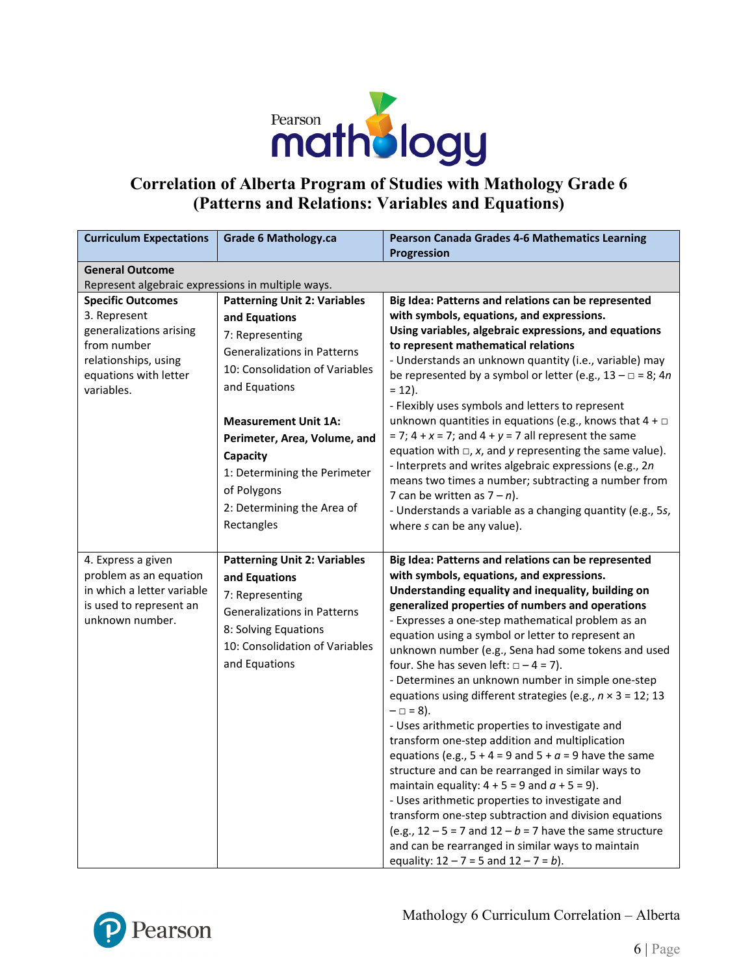

# **Correlation of Alberta Program of Studies with Mathology Grade 6 (Patterns and Relations: Variables and Equations)**

| <b>Curriculum Expectations</b>                                                                                                                    | <b>Grade 6 Mathology.ca</b>                                                                                                                                                                                                                                                                                                            | Pearson Canada Grades 4-6 Mathematics Learning<br><b>Progression</b>                                                                                                                                                                                                                                                                                                                                                                                                                                                                                                                                                                                                                                                                                                                                                                                                                                                                                                                                                                                                                                                                  |  |  |
|---------------------------------------------------------------------------------------------------------------------------------------------------|----------------------------------------------------------------------------------------------------------------------------------------------------------------------------------------------------------------------------------------------------------------------------------------------------------------------------------------|---------------------------------------------------------------------------------------------------------------------------------------------------------------------------------------------------------------------------------------------------------------------------------------------------------------------------------------------------------------------------------------------------------------------------------------------------------------------------------------------------------------------------------------------------------------------------------------------------------------------------------------------------------------------------------------------------------------------------------------------------------------------------------------------------------------------------------------------------------------------------------------------------------------------------------------------------------------------------------------------------------------------------------------------------------------------------------------------------------------------------------------|--|--|
| <b>General Outcome</b>                                                                                                                            |                                                                                                                                                                                                                                                                                                                                        |                                                                                                                                                                                                                                                                                                                                                                                                                                                                                                                                                                                                                                                                                                                                                                                                                                                                                                                                                                                                                                                                                                                                       |  |  |
|                                                                                                                                                   | Represent algebraic expressions in multiple ways.                                                                                                                                                                                                                                                                                      |                                                                                                                                                                                                                                                                                                                                                                                                                                                                                                                                                                                                                                                                                                                                                                                                                                                                                                                                                                                                                                                                                                                                       |  |  |
| <b>Specific Outcomes</b><br>3. Represent<br>generalizations arising<br>from number<br>relationships, using<br>equations with letter<br>variables. | <b>Patterning Unit 2: Variables</b><br>and Equations<br>7: Representing<br><b>Generalizations in Patterns</b><br>10: Consolidation of Variables<br>and Equations<br><b>Measurement Unit 1A:</b><br>Perimeter, Area, Volume, and<br>Capacity<br>1: Determining the Perimeter<br>of Polygons<br>2: Determining the Area of<br>Rectangles | Big Idea: Patterns and relations can be represented<br>with symbols, equations, and expressions.<br>Using variables, algebraic expressions, and equations<br>to represent mathematical relations<br>- Understands an unknown quantity (i.e., variable) may<br>be represented by a symbol or letter (e.g., $13 - \square = 8$ ; 4n<br>$= 12$ ).<br>- Flexibly uses symbols and letters to represent<br>unknown quantities in equations (e.g., knows that $4 + \Box$<br>$= 7$ ; 4 + x = 7; and 4 + y = 7 all represent the same<br>equation with $\Box$ , x, and y representing the same value).<br>- Interprets and writes algebraic expressions (e.g., 2n<br>means two times a number; subtracting a number from<br>7 can be written as $7 - n$ ).<br>- Understands a variable as a changing quantity (e.g., 5s,<br>where s can be any value).                                                                                                                                                                                                                                                                                        |  |  |
| 4. Express a given<br>problem as an equation<br>in which a letter variable<br>is used to represent an<br>unknown number.                          | <b>Patterning Unit 2: Variables</b><br>and Equations<br>7: Representing<br>Generalizations in Patterns<br>8: Solving Equations<br>10: Consolidation of Variables<br>and Equations                                                                                                                                                      | Big Idea: Patterns and relations can be represented<br>with symbols, equations, and expressions.<br>Understanding equality and inequality, building on<br>generalized properties of numbers and operations<br>- Expresses a one-step mathematical problem as an<br>equation using a symbol or letter to represent an<br>unknown number (e.g., Sena had some tokens and used<br>four. She has seven left: $\Box - 4 = 7$ ).<br>- Determines an unknown number in simple one-step<br>equations using different strategies (e.g., $n \times 3 = 12$ ; 13<br>$- \Box = 8$ ).<br>- Uses arithmetic properties to investigate and<br>transform one-step addition and multiplication<br>equations (e.g., $5 + 4 = 9$ and $5 + a = 9$ have the same<br>structure and can be rearranged in similar ways to<br>maintain equality: $4 + 5 = 9$ and $a + 5 = 9$ ).<br>- Uses arithmetic properties to investigate and<br>transform one-step subtraction and division equations<br>(e.g., $12 - 5 = 7$ and $12 - b = 7$ have the same structure<br>and can be rearranged in similar ways to maintain<br>equality: $12 - 7 = 5$ and $12 - 7 = b$ ). |  |  |



Mathology 6 Curriculum Correlation – Alberta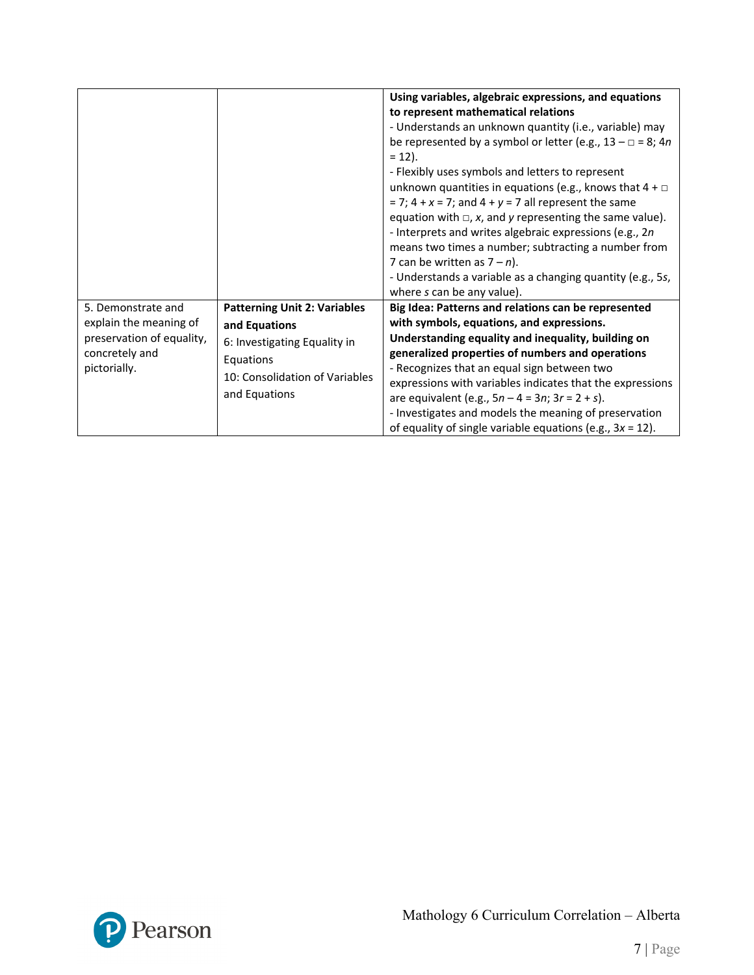|                                                                                                             |                                                                                                                                                      | Using variables, algebraic expressions, and equations<br>to represent mathematical relations<br>- Understands an unknown quantity (i.e., variable) may<br>be represented by a symbol or letter (e.g., $13 - \square = 8$ ; 4n<br>$= 12$ ).<br>- Flexibly uses symbols and letters to represent<br>unknown quantities in equations (e.g., knows that $4 + \Box$<br>$= 7$ ; 4 + x = 7; and 4 + y = 7 all represent the same<br>equation with $\Box$ , x, and y representing the same value).<br>- Interprets and writes algebraic expressions (e.g., 2n)<br>means two times a number; subtracting a number from<br>7 can be written as $7 - n$ ).<br>- Understands a variable as a changing quantity (e.g., 5s,<br>where s can be any value). |
|-------------------------------------------------------------------------------------------------------------|------------------------------------------------------------------------------------------------------------------------------------------------------|---------------------------------------------------------------------------------------------------------------------------------------------------------------------------------------------------------------------------------------------------------------------------------------------------------------------------------------------------------------------------------------------------------------------------------------------------------------------------------------------------------------------------------------------------------------------------------------------------------------------------------------------------------------------------------------------------------------------------------------------|
| 5. Demonstrate and<br>explain the meaning of<br>preservation of equality,<br>concretely and<br>pictorially. | <b>Patterning Unit 2: Variables</b><br>and Equations<br>6: Investigating Equality in<br>Equations<br>10: Consolidation of Variables<br>and Equations | Big Idea: Patterns and relations can be represented<br>with symbols, equations, and expressions.<br>Understanding equality and inequality, building on<br>generalized properties of numbers and operations<br>- Recognizes that an equal sign between two<br>expressions with variables indicates that the expressions<br>are equivalent (e.g., $5n - 4 = 3n$ ; $3r = 2 + s$ ).<br>- Investigates and models the meaning of preservation<br>of equality of single variable equations (e.g., $3x = 12$ ).                                                                                                                                                                                                                                    |

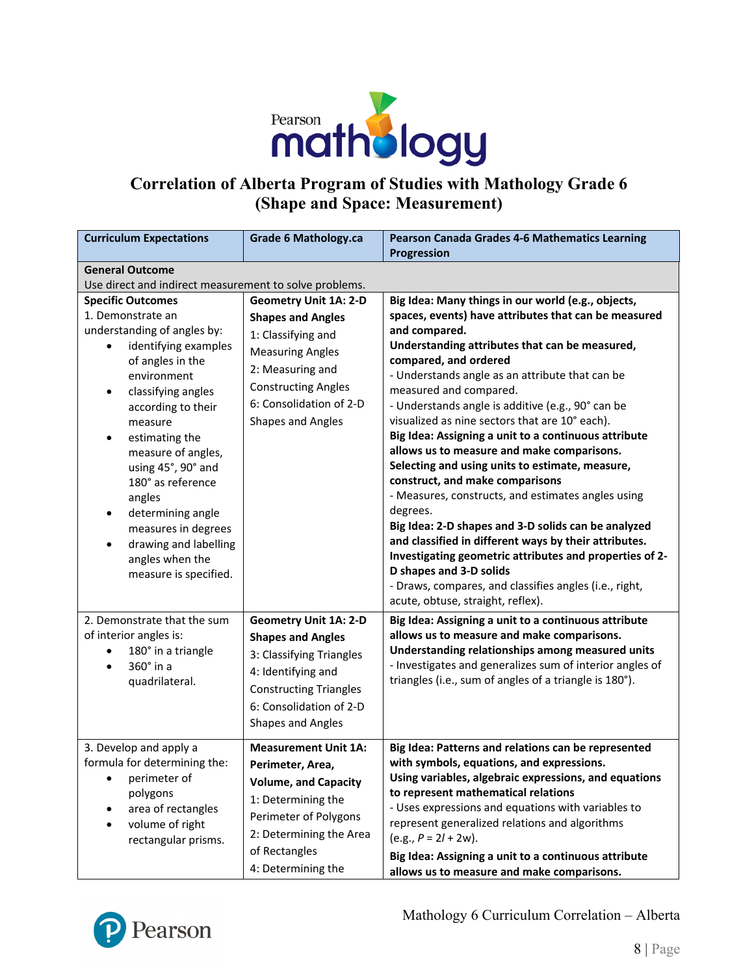

# **Correlation of Alberta Program of Studies with Mathology Grade 6 (Shape and Space: Measurement)**

| <b>Curriculum Expectations</b>                                                                                                                                                                                                                                                                                                                                                                                                                           | <b>Grade 6 Mathology.ca</b>                                                                                                                                                                                 | Pearson Canada Grades 4-6 Mathematics Learning<br>Progression                                                                                                                                                                                                                                                                                                                                                                                                                                                                                                                                                                                                                                                                                                                                                                                                                                                                                                 |
|----------------------------------------------------------------------------------------------------------------------------------------------------------------------------------------------------------------------------------------------------------------------------------------------------------------------------------------------------------------------------------------------------------------------------------------------------------|-------------------------------------------------------------------------------------------------------------------------------------------------------------------------------------------------------------|---------------------------------------------------------------------------------------------------------------------------------------------------------------------------------------------------------------------------------------------------------------------------------------------------------------------------------------------------------------------------------------------------------------------------------------------------------------------------------------------------------------------------------------------------------------------------------------------------------------------------------------------------------------------------------------------------------------------------------------------------------------------------------------------------------------------------------------------------------------------------------------------------------------------------------------------------------------|
| <b>General Outcome</b><br>Use direct and indirect measurement to solve problems.                                                                                                                                                                                                                                                                                                                                                                         |                                                                                                                                                                                                             |                                                                                                                                                                                                                                                                                                                                                                                                                                                                                                                                                                                                                                                                                                                                                                                                                                                                                                                                                               |
| <b>Specific Outcomes</b><br>1. Demonstrate an<br>understanding of angles by:<br>identifying examples<br>of angles in the<br>environment<br>classifying angles<br>$\bullet$<br>according to their<br>measure<br>estimating the<br>$\bullet$<br>measure of angles,<br>using 45°, 90° and<br>180° as reference<br>angles<br>determining angle<br>٠<br>measures in degrees<br>drawing and labelling<br>$\bullet$<br>angles when the<br>measure is specified. | <b>Geometry Unit 1A: 2-D</b><br><b>Shapes and Angles</b><br>1: Classifying and<br><b>Measuring Angles</b><br>2: Measuring and<br><b>Constructing Angles</b><br>6: Consolidation of 2-D<br>Shapes and Angles | Big Idea: Many things in our world (e.g., objects,<br>spaces, events) have attributes that can be measured<br>and compared.<br>Understanding attributes that can be measured,<br>compared, and ordered<br>- Understands angle as an attribute that can be<br>measured and compared.<br>- Understands angle is additive (e.g., 90° can be<br>visualized as nine sectors that are 10° each).<br>Big Idea: Assigning a unit to a continuous attribute<br>allows us to measure and make comparisons.<br>Selecting and using units to estimate, measure,<br>construct, and make comparisons<br>- Measures, constructs, and estimates angles using<br>degrees.<br>Big Idea: 2-D shapes and 3-D solids can be analyzed<br>and classified in different ways by their attributes.<br>Investigating geometric attributes and properties of 2-<br>D shapes and 3-D solids<br>- Draws, compares, and classifies angles (i.e., right,<br>acute, obtuse, straight, reflex). |
| 2. Demonstrate that the sum<br>of interior angles is:<br>180° in a triangle<br>$\bullet$<br>360° in a<br>$\bullet$<br>quadrilateral.                                                                                                                                                                                                                                                                                                                     | <b>Geometry Unit 1A: 2-D</b><br><b>Shapes and Angles</b><br>3: Classifying Triangles<br>4: Identifying and<br><b>Constructing Triangles</b><br>6: Consolidation of 2-D<br>Shapes and Angles                 | Big Idea: Assigning a unit to a continuous attribute<br>allows us to measure and make comparisons.<br>Understanding relationships among measured units<br>- Investigates and generalizes sum of interior angles of<br>triangles (i.e., sum of angles of a triangle is 180°).                                                                                                                                                                                                                                                                                                                                                                                                                                                                                                                                                                                                                                                                                  |
| 3. Develop and apply a<br>formula for determining the:<br>perimeter of<br>polygons<br>area of rectangles<br>volume of right<br>rectangular prisms.                                                                                                                                                                                                                                                                                                       | <b>Measurement Unit 1A:</b><br>Perimeter, Area,<br><b>Volume, and Capacity</b><br>1: Determining the<br>Perimeter of Polygons<br>2: Determining the Area<br>of Rectangles<br>4: Determining the             | Big Idea: Patterns and relations can be represented<br>with symbols, equations, and expressions.<br>Using variables, algebraic expressions, and equations<br>to represent mathematical relations<br>- Uses expressions and equations with variables to<br>represent generalized relations and algorithms<br>$(e.g., P = 2l + 2w).$<br>Big Idea: Assigning a unit to a continuous attribute<br>allows us to measure and make comparisons.                                                                                                                                                                                                                                                                                                                                                                                                                                                                                                                      |

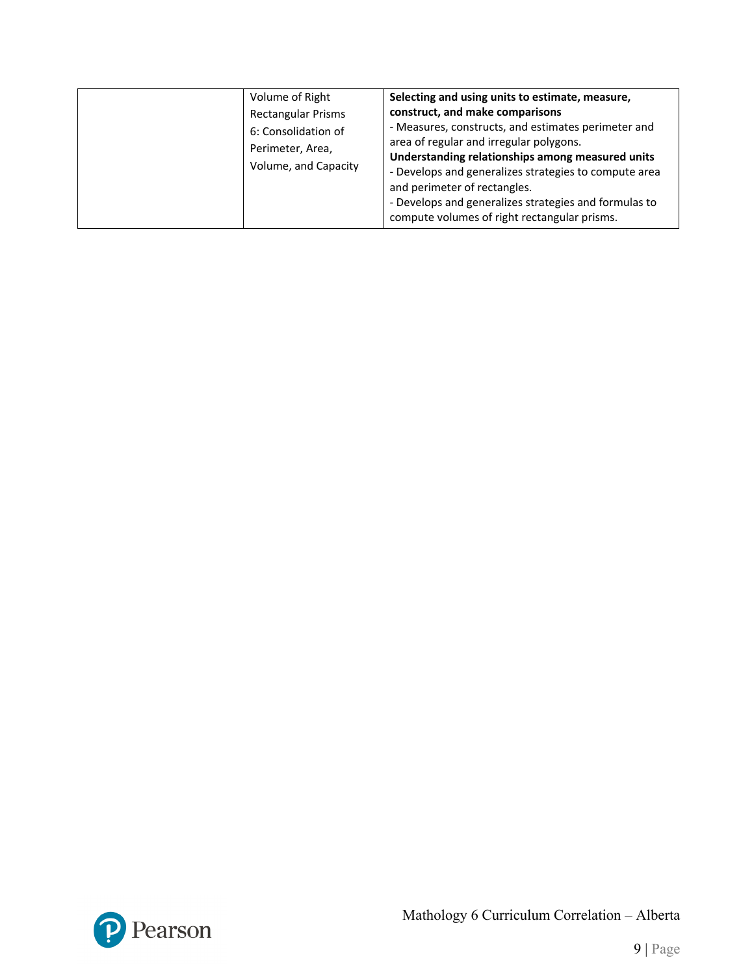| Volume of Right<br><b>Rectangular Prisms</b><br>6: Consolidation of<br>Perimeter, Area,<br>Volume, and Capacity | Selecting and using units to estimate, measure,<br>construct, and make comparisons<br>- Measures, constructs, and estimates perimeter and<br>area of regular and irregular polygons.<br>Understanding relationships among measured units<br>- Develops and generalizes strategies to compute area<br>and perimeter of rectangles.<br>- Develops and generalizes strategies and formulas to<br>compute volumes of right rectangular prisms. |
|-----------------------------------------------------------------------------------------------------------------|--------------------------------------------------------------------------------------------------------------------------------------------------------------------------------------------------------------------------------------------------------------------------------------------------------------------------------------------------------------------------------------------------------------------------------------------|
|-----------------------------------------------------------------------------------------------------------------|--------------------------------------------------------------------------------------------------------------------------------------------------------------------------------------------------------------------------------------------------------------------------------------------------------------------------------------------------------------------------------------------------------------------------------------------|

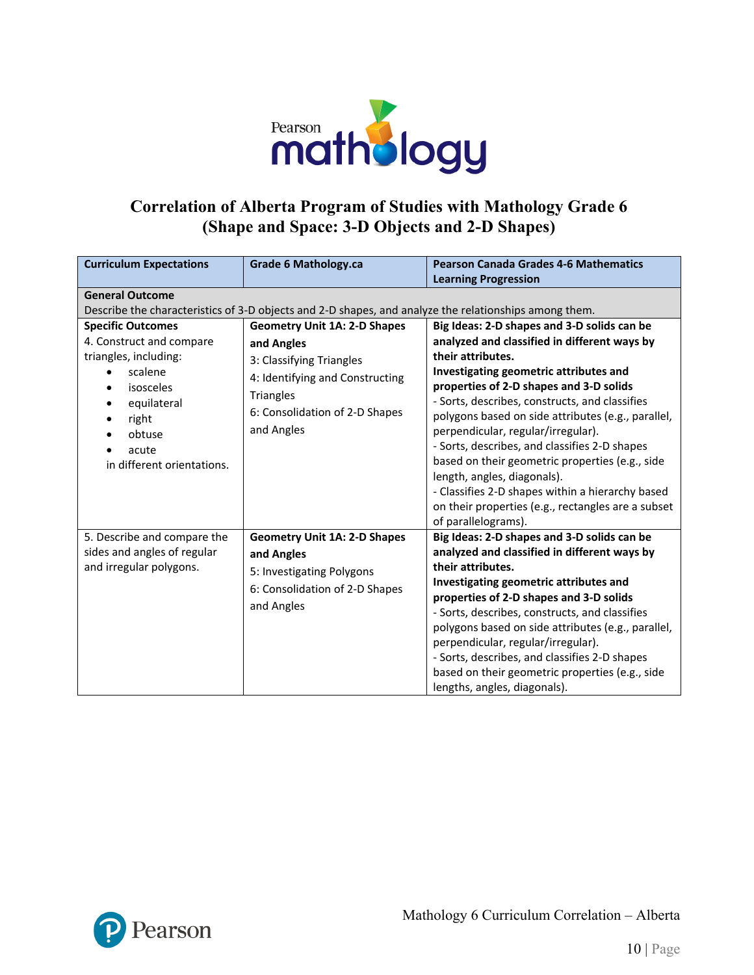

### **Correlation of Alberta Program of Studies with Mathology Grade 6 (Shape and Space: 3-D Objects and 2-D Shapes)**

| <b>Curriculum Expectations</b>                                                                                                  | <b>Grade 6 Mathology.ca</b>                                                                                                                                                                                               | <b>Pearson Canada Grades 4-6 Mathematics</b><br><b>Learning Progression</b>                                                                                                                                                                                                                                                                                                                                                                                                             |
|---------------------------------------------------------------------------------------------------------------------------------|---------------------------------------------------------------------------------------------------------------------------------------------------------------------------------------------------------------------------|-----------------------------------------------------------------------------------------------------------------------------------------------------------------------------------------------------------------------------------------------------------------------------------------------------------------------------------------------------------------------------------------------------------------------------------------------------------------------------------------|
| <b>General Outcome</b><br><b>Specific Outcomes</b><br>4. Construct and compare<br>triangles, including:<br>scalene<br>isosceles | Describe the characteristics of 3-D objects and 2-D shapes, and analyze the relationships among them.<br><b>Geometry Unit 1A: 2-D Shapes</b><br>and Angles<br>3: Classifying Triangles<br>4: Identifying and Constructing | Big Ideas: 2-D shapes and 3-D solids can be<br>analyzed and classified in different ways by<br>their attributes.<br>Investigating geometric attributes and<br>properties of 2-D shapes and 3-D solids                                                                                                                                                                                                                                                                                   |
| equilateral<br>right<br>obtuse<br>acute<br>in different orientations.                                                           | <b>Triangles</b><br>6: Consolidation of 2-D Shapes<br>and Angles                                                                                                                                                          | - Sorts, describes, constructs, and classifies<br>polygons based on side attributes (e.g., parallel,<br>perpendicular, regular/irregular).<br>- Sorts, describes, and classifies 2-D shapes<br>based on their geometric properties (e.g., side<br>length, angles, diagonals).<br>- Classifies 2-D shapes within a hierarchy based<br>on their properties (e.g., rectangles are a subset<br>of parallelograms).                                                                          |
| 5. Describe and compare the<br>sides and angles of regular<br>and irregular polygons.                                           | <b>Geometry Unit 1A: 2-D Shapes</b><br>and Angles<br>5: Investigating Polygons<br>6: Consolidation of 2-D Shapes<br>and Angles                                                                                            | Big Ideas: 2-D shapes and 3-D solids can be<br>analyzed and classified in different ways by<br>their attributes.<br>Investigating geometric attributes and<br>properties of 2-D shapes and 3-D solids<br>- Sorts, describes, constructs, and classifies<br>polygons based on side attributes (e.g., parallel,<br>perpendicular, regular/irregular).<br>- Sorts, describes, and classifies 2-D shapes<br>based on their geometric properties (e.g., side<br>lengths, angles, diagonals). |

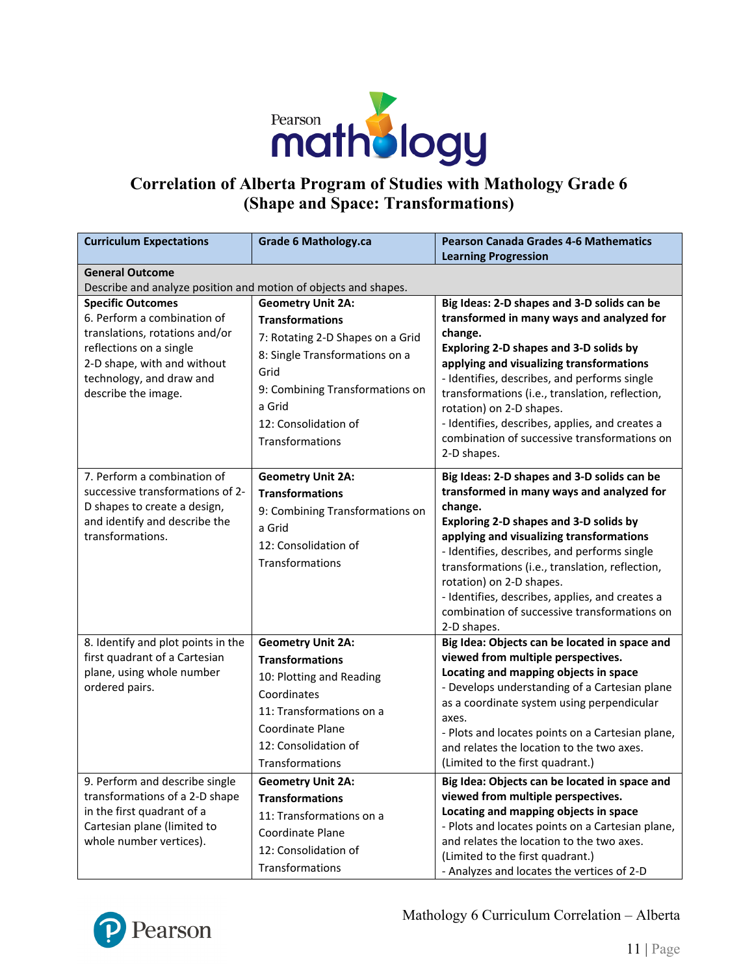

# **Correlation of Alberta Program of Studies with Mathology Grade 6 (Shape and Space: Transformations)**

| <b>Curriculum Expectations</b>                                                                                                                                                                         | <b>Grade 6 Mathology.ca</b>                                                                                                                                                                                              | <b>Pearson Canada Grades 4-6 Mathematics</b><br><b>Learning Progression</b>                                                                                                                                                                                                                                                                                                                                                                |
|--------------------------------------------------------------------------------------------------------------------------------------------------------------------------------------------------------|--------------------------------------------------------------------------------------------------------------------------------------------------------------------------------------------------------------------------|--------------------------------------------------------------------------------------------------------------------------------------------------------------------------------------------------------------------------------------------------------------------------------------------------------------------------------------------------------------------------------------------------------------------------------------------|
| <b>General Outcome</b>                                                                                                                                                                                 |                                                                                                                                                                                                                          |                                                                                                                                                                                                                                                                                                                                                                                                                                            |
| Describe and analyze position and motion of objects and shapes.                                                                                                                                        |                                                                                                                                                                                                                          |                                                                                                                                                                                                                                                                                                                                                                                                                                            |
| <b>Specific Outcomes</b><br>6. Perform a combination of<br>translations, rotations and/or<br>reflections on a single<br>2-D shape, with and without<br>technology, and draw and<br>describe the image. | <b>Geometry Unit 2A:</b><br><b>Transformations</b><br>7: Rotating 2-D Shapes on a Grid<br>8: Single Transformations on a<br>Grid<br>9: Combining Transformations on<br>a Grid<br>12: Consolidation of<br>Transformations | Big Ideas: 2-D shapes and 3-D solids can be<br>transformed in many ways and analyzed for<br>change.<br>Exploring 2-D shapes and 3-D solids by<br>applying and visualizing transformations<br>- Identifies, describes, and performs single<br>transformations (i.e., translation, reflection,<br>rotation) on 2-D shapes.<br>- Identifies, describes, applies, and creates a<br>combination of successive transformations on<br>2-D shapes. |
| 7. Perform a combination of<br>successive transformations of 2-<br>D shapes to create a design,<br>and identify and describe the<br>transformations.                                                   | <b>Geometry Unit 2A:</b><br><b>Transformations</b><br>9: Combining Transformations on<br>a Grid<br>12: Consolidation of<br>Transformations                                                                               | Big Ideas: 2-D shapes and 3-D solids can be<br>transformed in many ways and analyzed for<br>change.<br>Exploring 2-D shapes and 3-D solids by<br>applying and visualizing transformations<br>- Identifies, describes, and performs single<br>transformations (i.e., translation, reflection,<br>rotation) on 2-D shapes.<br>- Identifies, describes, applies, and creates a<br>combination of successive transformations on<br>2-D shapes. |
| 8. Identify and plot points in the<br>first quadrant of a Cartesian<br>plane, using whole number<br>ordered pairs.                                                                                     | <b>Geometry Unit 2A:</b><br><b>Transformations</b><br>10: Plotting and Reading<br>Coordinates<br>11: Transformations on a<br>Coordinate Plane<br>12: Consolidation of<br>Transformations                                 | Big Idea: Objects can be located in space and<br>viewed from multiple perspectives.<br>Locating and mapping objects in space<br>- Develops understanding of a Cartesian plane<br>as a coordinate system using perpendicular<br>axes.<br>- Plots and locates points on a Cartesian plane,<br>and relates the location to the two axes.<br>(Limited to the first quadrant.)                                                                  |
| 9. Perform and describe single<br>transformations of a 2-D shape<br>in the first quadrant of a<br>Cartesian plane (limited to<br>whole number vertices).                                               | <b>Geometry Unit 2A:</b><br><b>Transformations</b><br>11: Transformations on a<br>Coordinate Plane<br>12: Consolidation of<br>Transformations                                                                            | Big Idea: Objects can be located in space and<br>viewed from multiple perspectives.<br>Locating and mapping objects in space<br>- Plots and locates points on a Cartesian plane,<br>and relates the location to the two axes.<br>(Limited to the first quadrant.)<br>- Analyzes and locates the vertices of 2-D                                                                                                                            |



Mathology 6 Curriculum Correlation – Alberta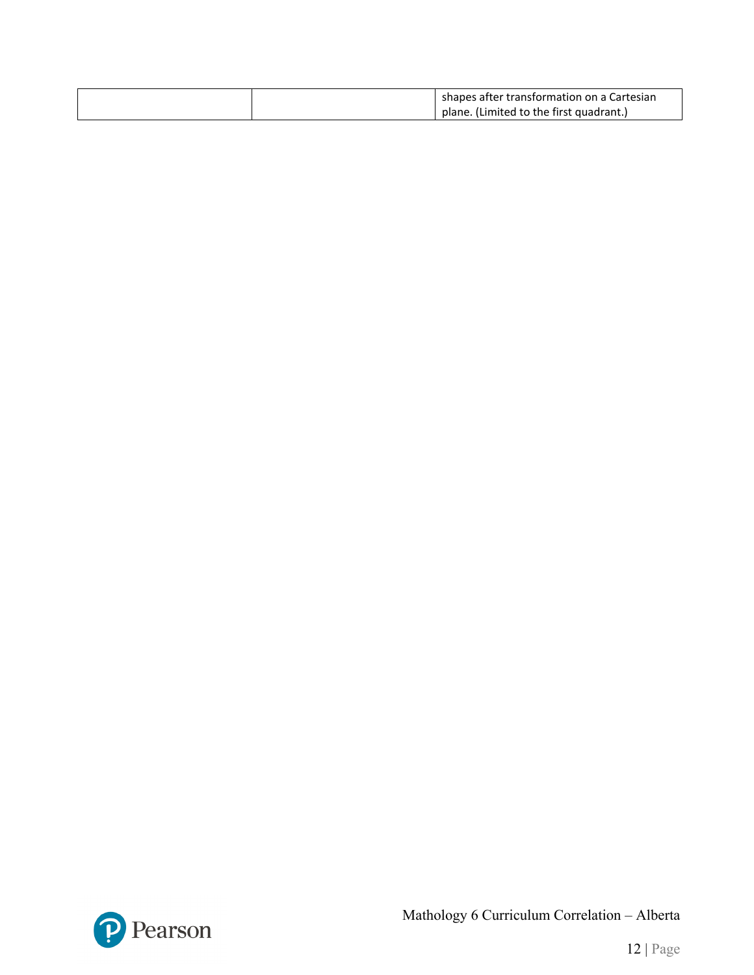|  | shapes after transformation on a Cartesian |
|--|--------------------------------------------|
|  | plane. (Limited to the first quadrant.)    |



Mathology 6 Curriculum Correlation – Alberta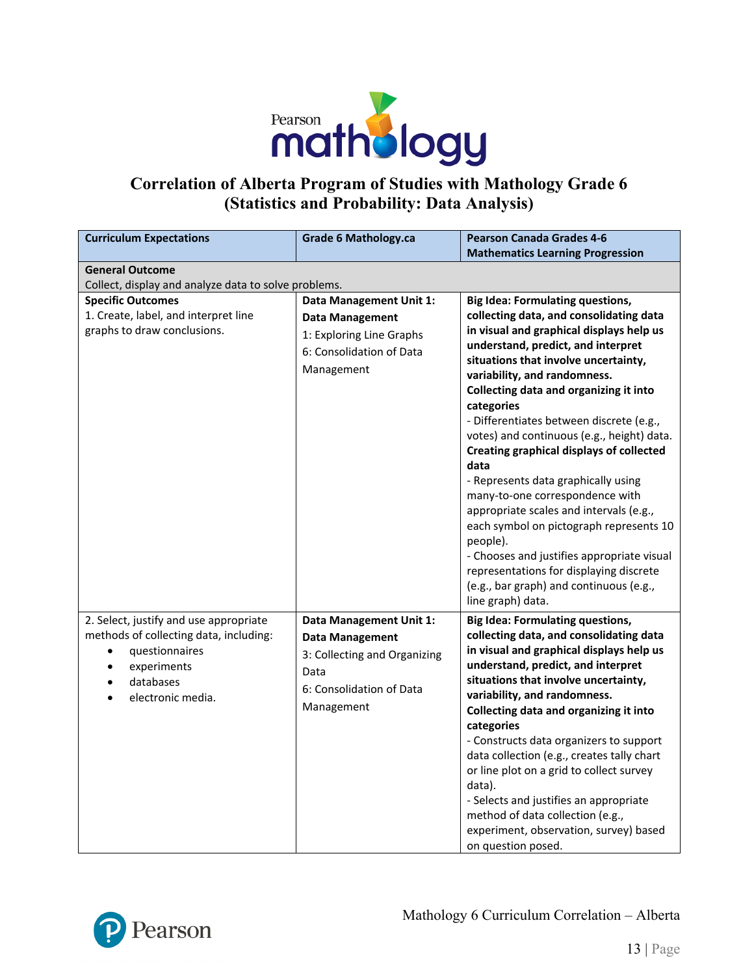

### **Correlation of Alberta Program of Studies with Mathology Grade 6 (Statistics and Probability: Data Analysis)**

| <b>Curriculum Expectations</b>                                                   | <b>Grade 6 Mathology.ca</b>  | <b>Pearson Canada Grades 4-6</b>                                                   |  |  |
|----------------------------------------------------------------------------------|------------------------------|------------------------------------------------------------------------------------|--|--|
|                                                                                  |                              | <b>Mathematics Learning Progression</b>                                            |  |  |
| <b>General Outcome</b>                                                           |                              |                                                                                    |  |  |
| Collect, display and analyze data to solve problems.                             |                              |                                                                                    |  |  |
| <b>Specific Outcomes</b>                                                         | Data Management Unit 1:      | <b>Big Idea: Formulating questions,</b>                                            |  |  |
| 1. Create, label, and interpret line                                             | <b>Data Management</b>       | collecting data, and consolidating data                                            |  |  |
| graphs to draw conclusions.                                                      | 1: Exploring Line Graphs     | in visual and graphical displays help us                                           |  |  |
|                                                                                  | 6: Consolidation of Data     | understand, predict, and interpret                                                 |  |  |
|                                                                                  | Management                   | situations that involve uncertainty,                                               |  |  |
|                                                                                  |                              | variability, and randomness.                                                       |  |  |
|                                                                                  |                              | Collecting data and organizing it into                                             |  |  |
|                                                                                  |                              | categories                                                                         |  |  |
|                                                                                  |                              | - Differentiates between discrete (e.g.,                                           |  |  |
|                                                                                  |                              | votes) and continuous (e.g., height) data.                                         |  |  |
|                                                                                  |                              | <b>Creating graphical displays of collected</b>                                    |  |  |
|                                                                                  |                              | data                                                                               |  |  |
|                                                                                  |                              | - Represents data graphically using                                                |  |  |
|                                                                                  |                              | many-to-one correspondence with                                                    |  |  |
|                                                                                  |                              | appropriate scales and intervals (e.g.,<br>each symbol on pictograph represents 10 |  |  |
|                                                                                  |                              | people).                                                                           |  |  |
|                                                                                  |                              | - Chooses and justifies appropriate visual                                         |  |  |
|                                                                                  |                              | representations for displaying discrete                                            |  |  |
|                                                                                  |                              | (e.g., bar graph) and continuous (e.g.,                                            |  |  |
|                                                                                  |                              | line graph) data.                                                                  |  |  |
|                                                                                  |                              |                                                                                    |  |  |
| 2. Select, justify and use appropriate<br>methods of collecting data, including: | Data Management Unit 1:      | <b>Big Idea: Formulating questions,</b><br>collecting data, and consolidating data |  |  |
|                                                                                  | <b>Data Management</b>       | in visual and graphical displays help us                                           |  |  |
| questionnaires<br>$\bullet$                                                      | 3: Collecting and Organizing | understand, predict, and interpret                                                 |  |  |
| experiments<br>$\bullet$<br>databases                                            | Data                         | situations that involve uncertainty,                                               |  |  |
| electronic media.                                                                | 6: Consolidation of Data     | variability, and randomness.                                                       |  |  |
|                                                                                  | Management                   | Collecting data and organizing it into                                             |  |  |
|                                                                                  |                              | categories                                                                         |  |  |
|                                                                                  |                              | - Constructs data organizers to support                                            |  |  |
|                                                                                  |                              | data collection (e.g., creates tally chart                                         |  |  |
|                                                                                  |                              | or line plot on a grid to collect survey                                           |  |  |
|                                                                                  |                              | data).                                                                             |  |  |
|                                                                                  |                              | - Selects and justifies an appropriate                                             |  |  |
|                                                                                  |                              | method of data collection (e.g.,                                                   |  |  |
|                                                                                  |                              | experiment, observation, survey) based                                             |  |  |
|                                                                                  |                              | on question posed.                                                                 |  |  |

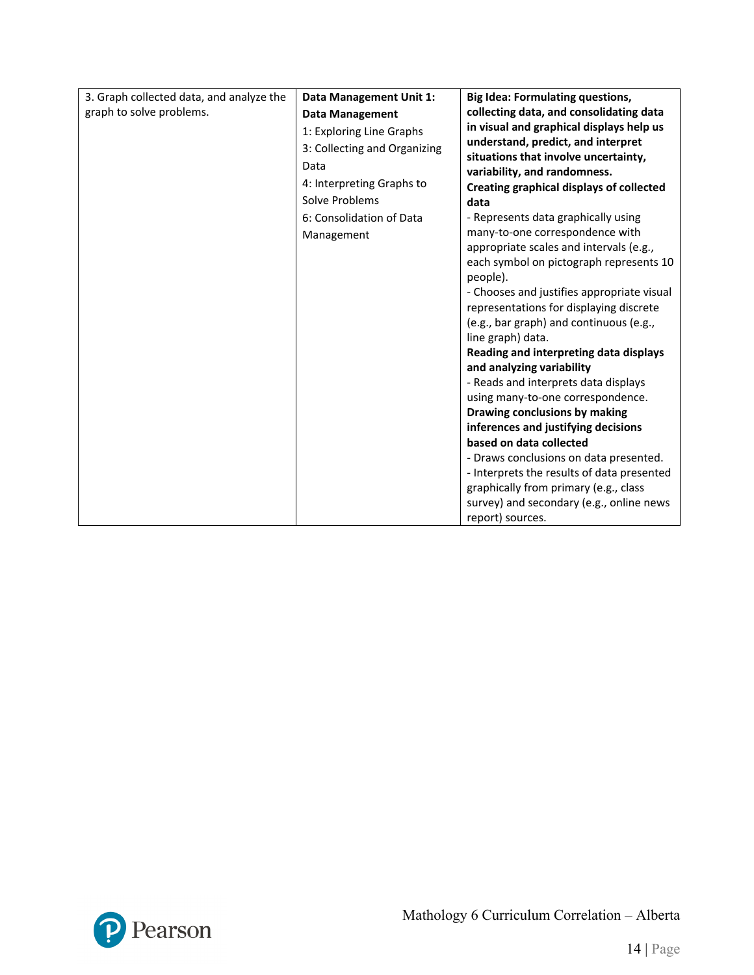| 3. Graph collected data, and analyze the | Data Management Unit 1:      | <b>Big Idea: Formulating questions,</b>          |
|------------------------------------------|------------------------------|--------------------------------------------------|
| graph to solve problems.                 | <b>Data Management</b>       | collecting data, and consolidating data          |
|                                          | 1: Exploring Line Graphs     | in visual and graphical displays help us         |
|                                          | 3: Collecting and Organizing | understand, predict, and interpret               |
|                                          | Data                         | situations that involve uncertainty,             |
|                                          | 4: Interpreting Graphs to    | variability, and randomness.                     |
|                                          | Solve Problems               | Creating graphical displays of collected<br>data |
|                                          | 6: Consolidation of Data     | - Represents data graphically using              |
|                                          |                              | many-to-one correspondence with                  |
|                                          | Management                   | appropriate scales and intervals (e.g.,          |
|                                          |                              | each symbol on pictograph represents 10          |
|                                          |                              | people).                                         |
|                                          |                              | - Chooses and justifies appropriate visual       |
|                                          |                              | representations for displaying discrete          |
|                                          |                              | (e.g., bar graph) and continuous (e.g.,          |
|                                          |                              | line graph) data.                                |
|                                          |                              | Reading and interpreting data displays           |
|                                          |                              | and analyzing variability                        |
|                                          |                              | - Reads and interprets data displays             |
|                                          |                              | using many-to-one correspondence.                |
|                                          |                              | Drawing conclusions by making                    |
|                                          |                              | inferences and justifying decisions              |
|                                          |                              | based on data collected                          |
|                                          |                              | - Draws conclusions on data presented.           |
|                                          |                              | - Interprets the results of data presented       |
|                                          |                              | graphically from primary (e.g., class            |
|                                          |                              | survey) and secondary (e.g., online news         |
|                                          |                              | report) sources.                                 |